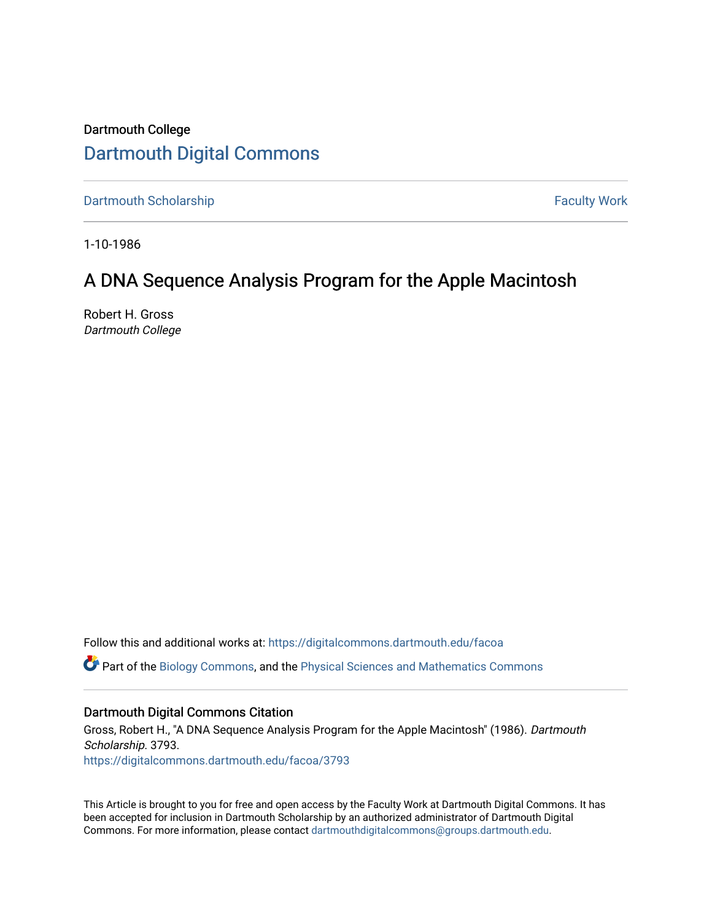# Dartmouth College [Dartmouth Digital Commons](https://digitalcommons.dartmouth.edu/)

[Dartmouth Scholarship](https://digitalcommons.dartmouth.edu/facoa) Faculty Work

1-10-1986

# A DNA Sequence Analysis Program for the Apple Macintosh

Robert H. Gross Dartmouth College

Follow this and additional works at: [https://digitalcommons.dartmouth.edu/facoa](https://digitalcommons.dartmouth.edu/facoa?utm_source=digitalcommons.dartmouth.edu%2Ffacoa%2F3793&utm_medium=PDF&utm_campaign=PDFCoverPages)

Part of the [Biology Commons,](http://network.bepress.com/hgg/discipline/41?utm_source=digitalcommons.dartmouth.edu%2Ffacoa%2F3793&utm_medium=PDF&utm_campaign=PDFCoverPages) and the [Physical Sciences and Mathematics Commons](http://network.bepress.com/hgg/discipline/114?utm_source=digitalcommons.dartmouth.edu%2Ffacoa%2F3793&utm_medium=PDF&utm_campaign=PDFCoverPages)

# Dartmouth Digital Commons Citation

Gross, Robert H., "A DNA Sequence Analysis Program for the Apple Macintosh" (1986). Dartmouth Scholarship. 3793. [https://digitalcommons.dartmouth.edu/facoa/3793](https://digitalcommons.dartmouth.edu/facoa/3793?utm_source=digitalcommons.dartmouth.edu%2Ffacoa%2F3793&utm_medium=PDF&utm_campaign=PDFCoverPages) 

This Article is brought to you for free and open access by the Faculty Work at Dartmouth Digital Commons. It has been accepted for inclusion in Dartmouth Scholarship by an authorized administrator of Dartmouth Digital Commons. For more information, please contact [dartmouthdigitalcommons@groups.dartmouth.edu](mailto:dartmouthdigitalcommons@groups.dartmouth.edu).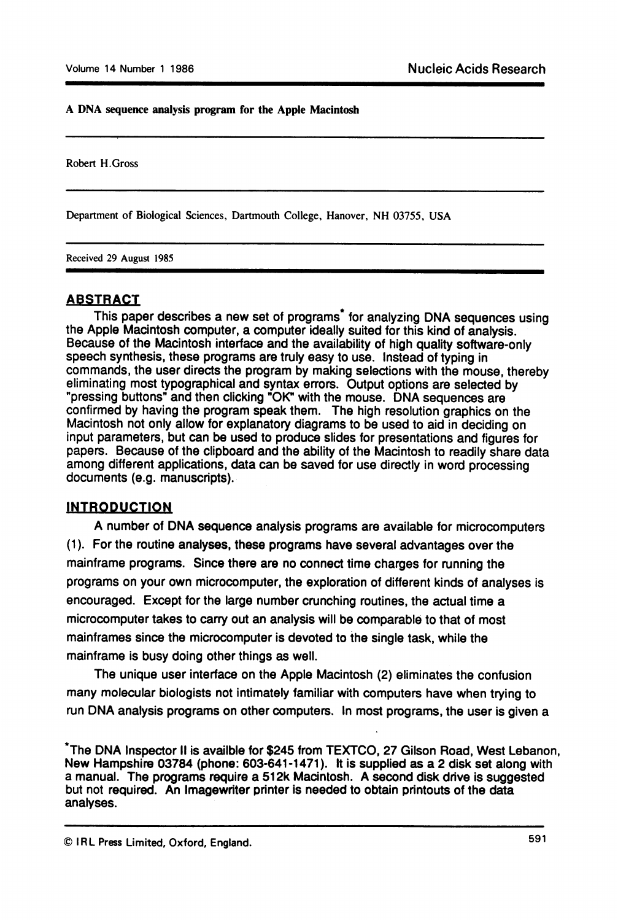#### A DNA sequence analysis program for the Apple Macintosh

Robert H.Gross

Department of Biological Sciences, Dartmouth College, Hanover, NH 03755, USA

Received 29 August 1985

#### ABSTRACT

This paper describes a new set of programs\* for analyzing DNA sequences using the Apple Macintosh computer, a computer ideally suited for this kind of analysis. Because of the Macintosh interface and the availability of high quality software-only speech synthesis, these programs are truly easy to use. Instead of typing in commands, the user directs the program by making selections with the mouse, thereby eliminating most typographical and syntax errors. Output options are selected by "pressing buttons" and then clicking "OK" with the mouse. DNA sequences are confirmed by having the program speak them. The high resolution graphics on the Macintosh not only allow for explanatory diagrams to be used to aid in deciding on input parameters, but can be used to produce slides for presentations and figures for papers. Because of the clipboard and the ability of the Macintosh to readily share data among different applications, data can be saved for use directly in word processing documents (e.g. manuscripts).

### INTRODUCTION

A number of DNA sequence analysis programs are available for microcomputers (1). For the routine analyses, these programs have several advantages over the mainframe programs. Since there are no connect time charges for running the programs on your own microcomputer, the exploration of different kinds of analyses is encouraged. Except for the large number crunching routines, the actual time a microcomputer takes to carry out an analysis will be comparable to that of most mainframes since the microcomputer is devoted to the single task, while the mainframe is busy doing other things as well.

The unique user interface on the Apple Macintosh (2) eliminates the confusion many molecular biologists not intimately familiar with computers have when trying to run DNA analysis programs on other computers. In most programs, the user is given a

The DNA Inspector <sup>11</sup> is availble for \$245 from TEXTCO, 27 Gilson Road, West Lebanon, New Hampshire 03784 (phone: 603-641-1471). It is supplied as a 2 disk set along with a manual. The programs require a 512k Macintosh. A second disk drive is suggested but not required. An Imagewriter printer is needed to obtain printouts of the data analyses.

© IRL Press Limited, Oxford, England.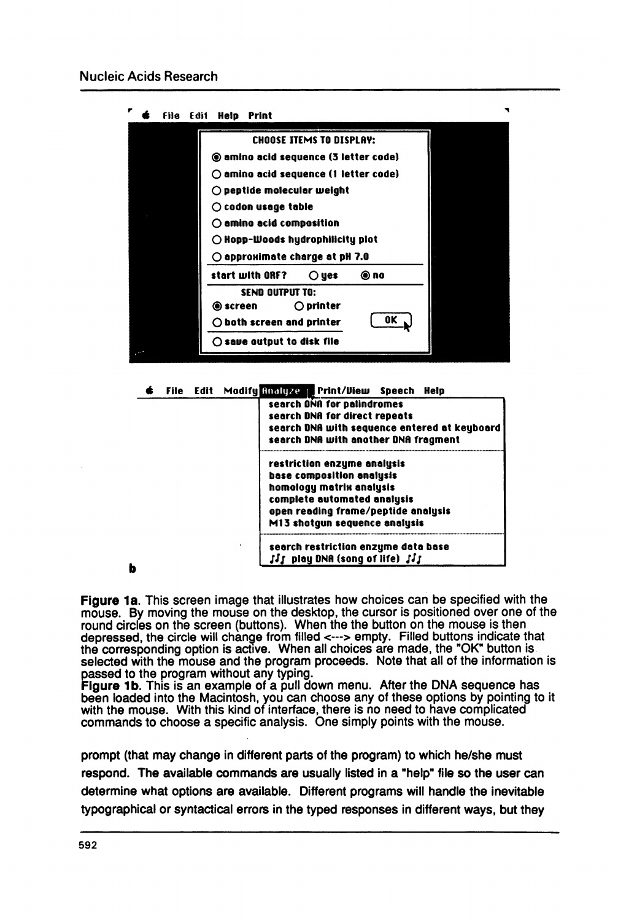

File Edit Modify Inalyze Print/View Speech Help

| search DNA for palindromes<br>search DNA for direct repeats<br>search DNA with sequence entered at keyboard |
|-------------------------------------------------------------------------------------------------------------|
|                                                                                                             |
|                                                                                                             |
|                                                                                                             |
| search DNA with another DNA fragment                                                                        |
|                                                                                                             |
| restriction enzyme analysis                                                                                 |
| base composition analysis                                                                                   |
|                                                                                                             |
| complete automated analysis                                                                                 |
| open reading frame/peptide analysis                                                                         |
| M13 shotgun sequence analysis                                                                               |
|                                                                                                             |
| search restriction enzyme data base                                                                         |
| $\mathcal{U}_1$ play DNA (song of life) $\mathcal{U}_1$                                                     |
| homology matrix analysis                                                                                    |

Figure 1a. This screen image that illustrates how choices can be specified with the mouse. By moving the mouse on the desktop, the cursor is positioned over one of the round circles on the screen (buttons). When the the button on the mouse is then depressed, the circle will change from filled <---> empty. Filled buttons indicate that the corresponding option is active. When all choices are made, the "OK" button is selected with the mouse and the program proceeds. Note that all of the information is

passed to the program without any typing.<br>**Figure 1b**. This is an example of a pull down menu. After the DNA sequence has been loaded into the Macintosh, you can choose any of these options by pointing to it with the mouse. With this kind of interface, there is no need to have complicated commands to choose a specific analysis. One simply points with the mouse.

prompt (that may change in different parts of the program) to which he/she must respond. The available commands are usually listed in a "help" file so the user can determine what options are available. Different programs will handle the inevitable typographical or syntactical errors in the typed responses in different ways, but they

b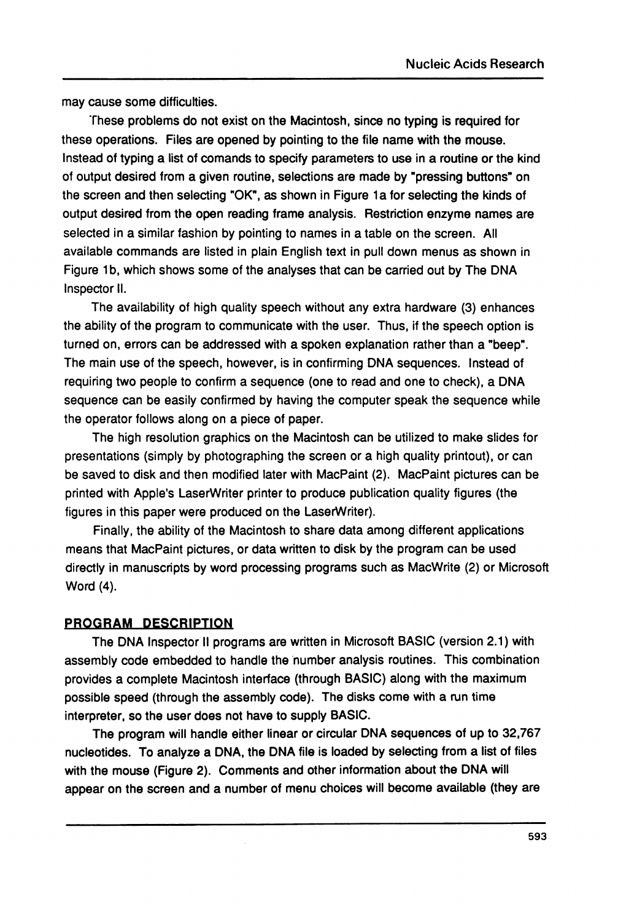may cause some difficulties.

These problems do not exist on the Macintosh, since no typing is required for these operations. Files are opened by pointing to the file name with the mouse. Instead of typing a list of comands to specify parameters to use in a routine or the kind of output desired from a given routine, selections are made by "pressing buttons" on the screen and then selecting "OK", as shown in Figure 1a for selecting the kinds of output desired from the open reading frame analysis. Restriction enzyme names are selected in a similar fashion by pointing to names in a table on the screen. All available commands are listed in plain English text in pull down menus as shown in Figure 1b, which shows some of the analyses that can be carried out by The DNA Inspector 11.

The availability of high quality speech without any extra hardware (3) enhances the ability of the program to communicate with the user. Thus, if the speech option is turned on, errors can be addressed with a spoken explanation rather than a "beep". The main use of the speech, however, is in confirming DNA sequences. Instead of requiring two people to confirm a sequence (one to read and one to check), a DNA sequence can be easily confirmed by having the computer speak the sequence while the operator follows along on a piece of paper.

The high resolution graphics on the Macintosh can be utilized to make slides for presentations (simply by photographing the screen or a high quality printout), or can be saved to disk and then modified later with MacPaint (2). MacPaint pictures can be printed with Apple's LaserWriter printer to produce publication quality figures (the figures in this paper were produced on the LaserWriter).

Finally, the ability of the Macintosh to share data among different applications means that MacPaint pictures, or data written to disk by the program can be used directly in manuscripts by word processing programs such as MacWrite (2) or Microsoft Word (4).

### PROGRAM DESCRIPTION

The DNA Inspector <sup>11</sup> programs are written in Microsoft BASIC (version 2.1) with assembly code embedded to handle the number analysis routines. This combination provides a complete Macintosh interface (through BASIC) along with the maximum possible speed (through the assembly code). The disks come with a run time interpreter, so the user does not have to supply BASIC.

The program will handle either linear or circular DNA sequences of up to 32,767 nucleotides. To analyze a DNA, the DNA file is loaded by selecting from a list of files with the mouse (Figure 2). Comments and other information about the DNA will appear on the screen and a number of menu choices will become available (they are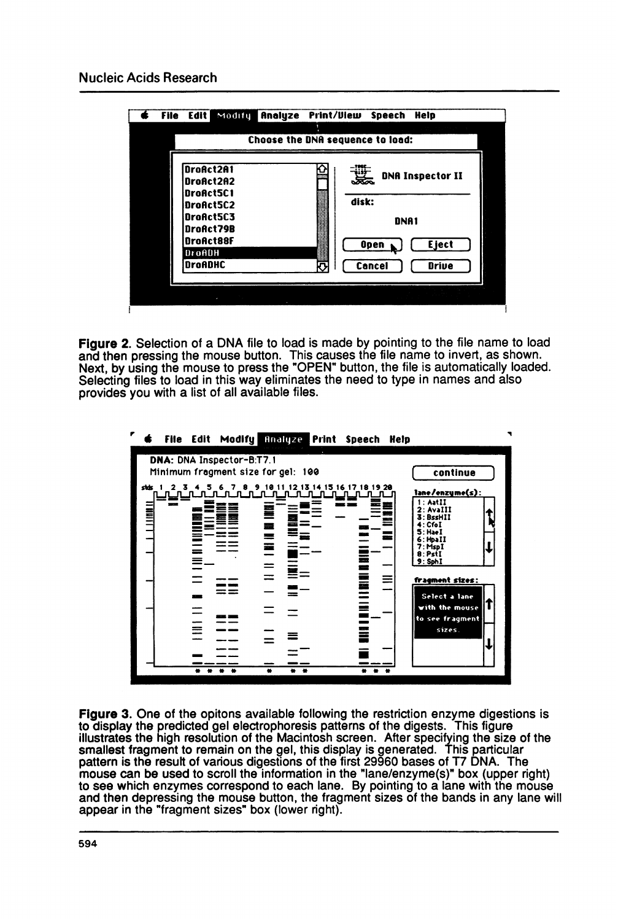

Figure 2. Selection of a DNA file to load is made by pointing to the file name to load and then pressing the mouse button. This causes the file name to invert, as shown. Next, by using the mouse to press the "OPEN" button, the file is automatically loaded. Selecting files to load in this way eliminates the need to type in names and also provides you with a list of all available files.



Figure 3. One of the opitons available following the restriction enzyme digestions is to display the predicted gel electrophoresis patterns of the digests. This figure illustrates the high resolution of the Macintosh screen. After specifying the size of the smallest fragment to remain on the gel, this display is generated. This particular pattern is the result of various digestions of the first 29960 bases of T7 DNA. The mouse can be used to scroll the information in the "lane/enzyme(s)" box (upper right) to see which enzymes correspond to each lane. By pointing to a lane with the mouse and then depressing the mouse button, the fragment sizes of the bands in any lane will appear in the "fragment sizes" box (lower right).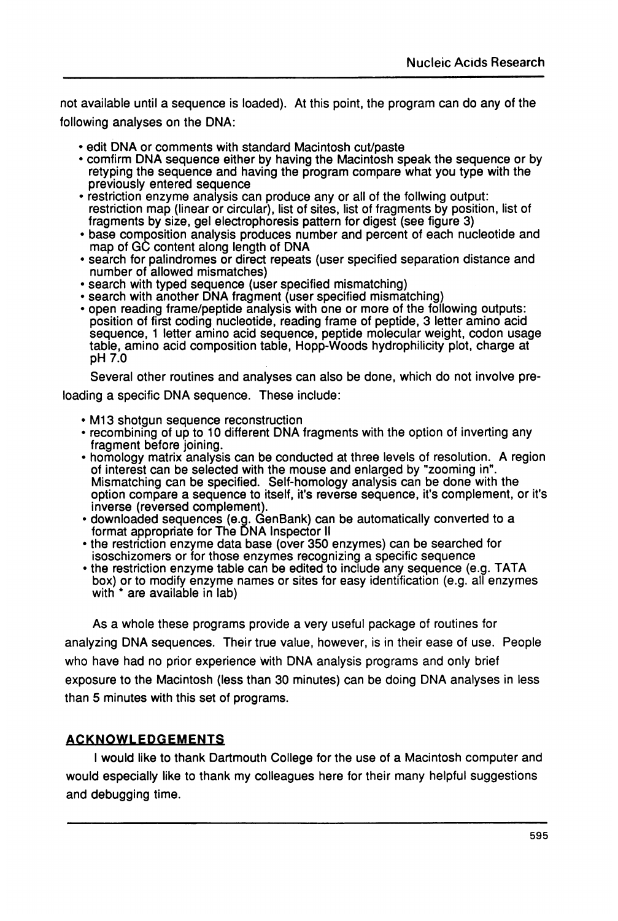not available until a sequence is loaded). At this point, the program can do any of the following analyses on the DNA:

• edit DNA or comments with standard Macintosh cut/paste

- \* comfirm DNA sequence either by having the Macintosh speak the sequence or by retyping the sequence and having the program compare what you type with the previously entered sequence
- \* restriction enzyme analysis can produce any or all of the follwing output: restriction map (linear or circular), list of sites, list of fragments by position, list of fragments by size, gel electrophoresis pattern for digest (see figure 3)
- \* base composition analysis produces number and percent of each nucleotide and map of GC content along length of DNA
- \* search for palindromes or direct repeats (user specified separation distance and number of allowed mismatches)
- \* search with typed sequence (user specified mismatching)
- \* search with another DNA fragment (user specified mismatching)
- \* open reading frame/peptide analysis with one or more of the following outputs: position of first coding nucleotide, reading frame of peptide, 3 letter amino acid sequence, <sup>1</sup> letter amino acid sequence, peptide molecular weight, codon usage table, amino acid composition table, Hopp-Woods hydrophilicity plot, charge at pH 7.0

Several other routines and analyses can also be done, which do not involve pre-

loading a specific DNA sequence. These include:

- \* M13 shotgun sequence reconstruction
- \* recombining of up to 10 different DNA fragments with the option of inverting any fragment before joining.
- \* homology matrix analysis can be conducted at three levels of resolution. A region of interest can be selected with the mouse and enlarged by "zooming in". Mismatching can be specified. Self-homology analysis can be done with the option compare a sequence to itself, it's reverse sequence, it's complement, or it's inverse (reversed complement).
- \* downloaded sequences (e.g. GenBank) can be automatically converted to a format appropriate for The DNA Inspector <sup>11</sup>
- \* the restriction enzyme data base (over 350 enzymes) can be searched for isoschizomers or for those enzymes recognizing a specific sequence
- \* the restriction enzyme table can be edited to include any sequence (e.g. TATA box) or to modify enzyme names or sites for easy identification (e.g. all enzymes with \* are available in lab)

As a whole these programs provide a very useful package of routines for analyzing DNA sequences. Their true value, however, is in their ease of use. People who have had no prior experience with DNA analysis programs and only brief exposure to the Macintosh (less than 30 minutes) can be doing DNA analyses in less than 5 minutes with this set of programs.

# **ACKNOWLEDGEMENTS**

<sup>I</sup> would like to thank Dartmouth College for the use of a Macintosh computer and would especially like to thank my colleagues here for their many helpful suggestions and debugging time.